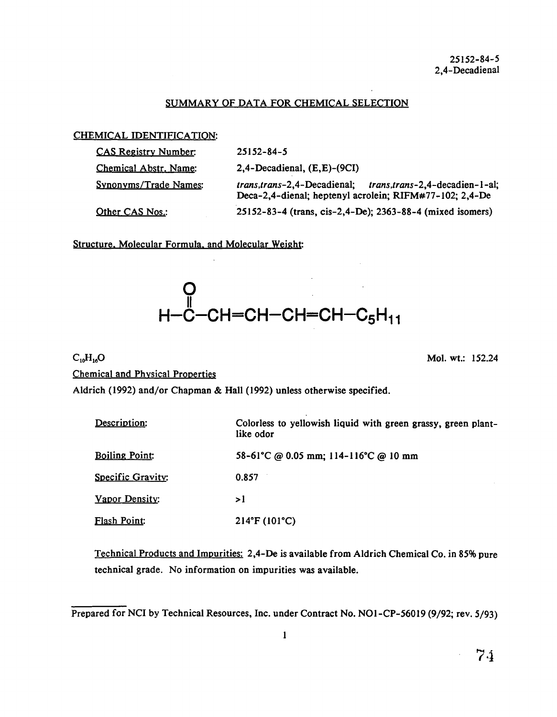## SUMMARY OF DATA FOR CHEMICAL SELECTION

## CHEMICAL IDENTIFICATION:

| <b>CAS Registry Number:</b> | $25152 - 84 - 5$                                                                                                        |
|-----------------------------|-------------------------------------------------------------------------------------------------------------------------|
| Chemical Abstr. Name:       | $2,4$ -Decadienal, $(E,E)$ - $(9CI)$                                                                                    |
| Synonyms/Trade Names:       | trans, trans-2,4-Decadienal; trans, trans-2,4-decadien-1-al;<br>Deca-2,4-dienal; heptenyl acrolein; RIFM#77-102; 2,4-De |
| Other CAS Nos.:             | 25152-83-4 (trans, cis-2,4-De); 2363-88-4 (mixed isomers)                                                               |

Structure. Molecular Formula. and Molecular Weight:

# O<br>H−C−CH=CH−CH=CH−C<sub>5</sub>H<sub>11</sub>

# $C_{10}H_{16}O$  Mol. wt.: 152.24

Chemical and Physical Properties

Aldrich (1992) and/or Chapman & Hall (1992) unless otherwise specified.

| Description:          | Colorless to yellowish liquid with green grassy, green plant-<br>like odor |
|-----------------------|----------------------------------------------------------------------------|
| <b>Boiling Point:</b> | 58-61°C @ 0.05 mm; 114-116°C @ 10 mm                                       |
| Specific Gravity:     | 0.857                                                                      |
| Vapor Density:        | > l                                                                        |
| Flash Point:          | $214^{\circ}F(101^{\circ}C)$                                               |

Technical Products and Impurities: 2,4-De is available from Aldrich Chemical Co. in 85% pure technical grade. No information on impurities was available.

Prepared for NCI by Technical Resources, Inc. under Contract No. NO1-CP-56019 (9/92; rev. 5/93)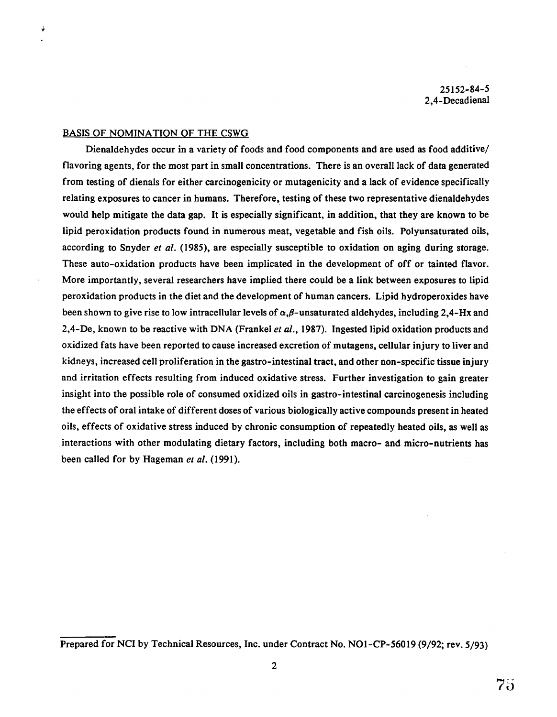25152-84-5 2,4-Decadienal

#### BASIS OF NOMINATION OF THE CSWG

Ý

Dienaldehydes occur in a variety of foods and food components and are used as food additive/ flavoring agents, for the most part in small concentrations. There is an overall lack of data generated from testing of dienals for either carcinogenicity or mutagenicity and a lack of evidence specifically relating exposures to cancer in humans. Therefore, testing of these two representative dienaldehydes would help mitigate the data gap. It is especially significant, in addition, that they are known to be lipid peroxidation products found in numerous meat, vegetable and fish oils. Polyunsaturated oils, according to Snyder *et al.* (1985), are especially susceptible to oxidation on aging during storage. These auto-oxidation products have been implicated in the development of off or tainted flavor. More importantly, several researchers have implied there could be a link between exposures to lipid peroxidation products in the diet and the development of human cancers. Lipid hydroperoxides have been shown to give rise to low intracellular levels of  $\alpha$ , $\beta$ -unsaturated aldehydes, including 2,4-Hx and 2,4-De, known to be reactive with DNA (Frankel *et al.,* 1987). Ingested lipid oxidation products and oxidized fats have been reported to cause increased excretion of mutagens, cellular injury to liver and kidneys, increased cell proliferation in the gastro-intestinal tract, and other non-specific tissue injury and irritation effects resulting from induced oxidative stress. Further investigation to gain greater insight into the possible role of consumed oxidized oils in gastro-intestinal carcinogenesis including the effects of oral intake of different doses of various biologically active compounds present in heated oils, effects of oxidative stress induced by chronic consumption of repeatedly heated oils, as well as interactions with other modulating dietary factors, including both macro- and micro-nutrients has been called for by Hageman *et al.* (1991).

Prepared for NCI by Technical Resources, Inc. under Contract No. NOl-CP-56019 (9/92; rev. 5/93)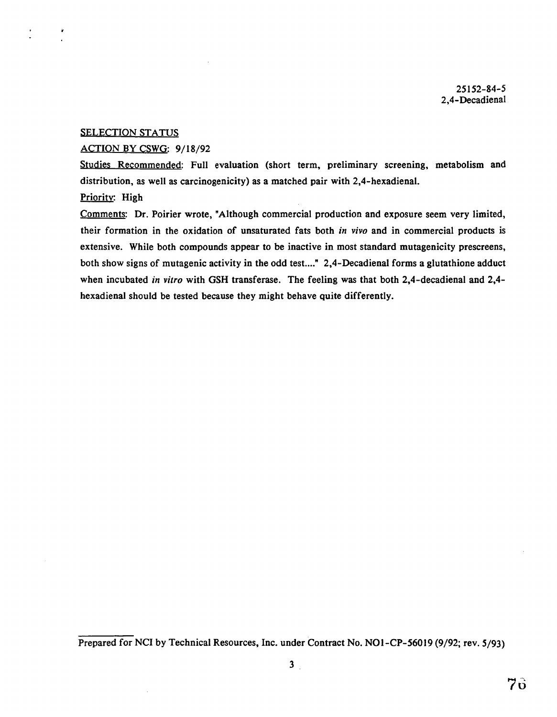25152-84-5 2,4-Decadienal

#### **SELECTION STATUS**

#### ACTION BY CSWG: 9/18/92

Studies Recommended: Full evaluation (short term, preliminary screening, metabolism and distribution, as well as carcinogenicity) as a matched pair with 2,4-hexadienal.

## Priority: High

Comments: Dr. Poirier wrote, "Although commercial production and exposure seem very limited, their formation in the oxidation of unsaturated fats both *in vivo* and in commercial products is extensive. While both compounds appear to be inactive in most standard mutagenicity prescreens, both show signs of mutagenic activity in the odd test...." 2,4-Decadienal forms a glutathione adduct when incubated *in vitro* with GSH transferase. The feeling was that both 2,4-decadienal and 2,4hexadienal should be tested because they might behave quite differently.

Prepared for NCI by Technical Resources, Inc. under Contract No. NOl-CP-56019 (9/92; rev. 5/93)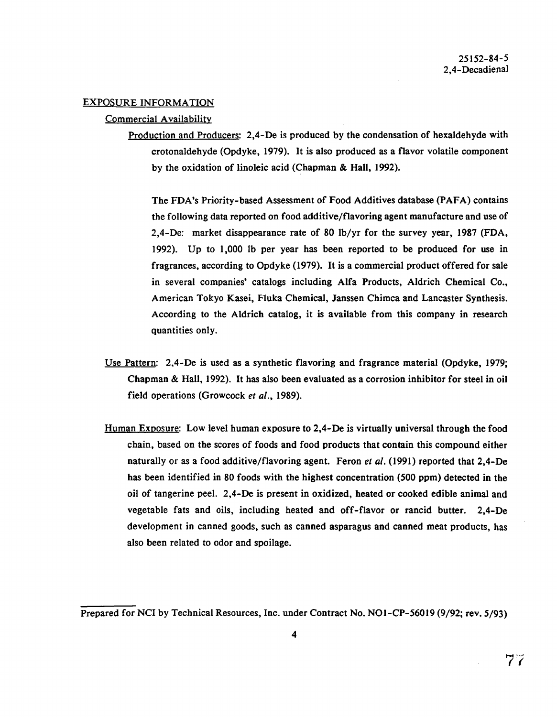### EXPOSURE INFORMATION

#### Commercial Availability

Production and Producers: 2,4-De is produced by the condensation of hexaldehyde with crotonaldehyde (Opdyke, 1979). It is also produced as a flavor volatile component by the oxidation of linoleic acid (Chapman & Hall, 1992).

The FDA's Priority-based Assessment of Food Additives database (PAFA) contains the following data reported on food additive/flavoring agent manufacture and use of 2,4-De: market disappearance rate of 80 lb/yr for the survey year, 1987 (FDA, 1992). Up to 1,000 lb per year has been reported to be produced for use in fragrances, according to Opdyke (1979). It is a commercial product offered for sale in several companies' catalogs including Alfa Products, Aldrich Chemical Co., American Tokyo Kasei, Fluka Chemical, Janssen Chimca and Lancaster Synthesis. According to the Aldrich catalog, it is available from this company in research quantities only.

- Use Pattern: 2,4-De is used as a synthetic flavoring and fragrance material (Opdyke, 1979; Chapman & Hall, 1992). It has also been evaluated as a corrosion inhibitor for steel in oil field operations (Growcock *et al.,* 1989).
- Human Exposure: Low level human exposure to 2,4-De is virtually universal through the food chain, based on the scores of foods and food products that contain this compound either naturally or as a food additive/flavoring agent. Feron *et al.* (1991) reported that 2,4-De has been identified in 80 foods with the highest concentration (500 ppm) detected in the oil of tangerine peel. 2,4-De is present in oxidized, heated or cooked edible animal and vegetable fats and oils, including heated and off-flavor or rancid butter. 2,4-De development in canned goods, such as canned asparagus and canned meat products, has also been related to odor and spoilage.

Prepared for NCI by Technical Resources, Inc. under Contract No. NOl-CP-56019 (9/92; rev. 5/93)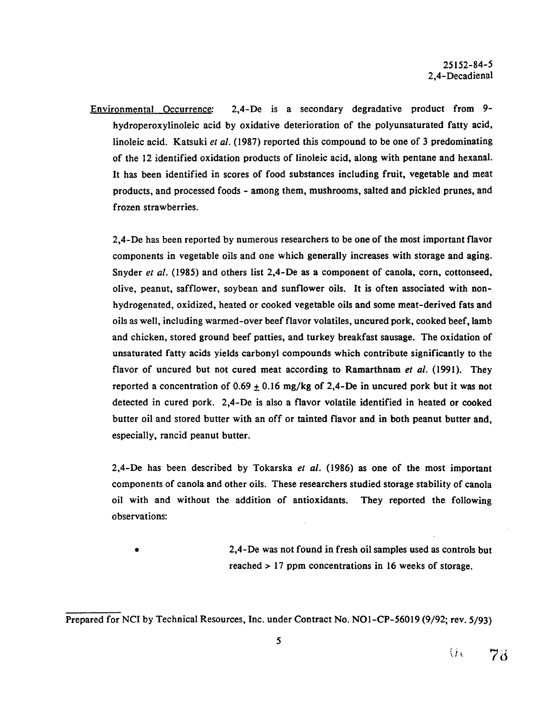Environmental Occurrence: 2,4-De is a secondary degradative product from 9 hydroperoxylinoleic acid by oxidative deterioration of the polyunsaturated fatty acid, linoleic acid. Katsuki *et al.* (1987) reported this compound to be one of 3 predominating of the 12 identified oxidation products of linoleic acid, along with pentane and hexanal. It has been identified in scores of food substances including fruit, vegetable and meat products, and processed foods - among them, mushrooms, salted and pickled prunes, and frozen strawberries.

2,4-De has been reported by numerous researchers to be one of the most important flavor components in vegetable oils and one which generally increases with storage and aging. Snyder *et al.* (1985) and others list 2.4-De as a component of canola, corn, cottonseed, olive, peanut, safflower, soybean and sunflower oils. It is often associated with nonhydrogenated, oxidized, heated or cooked vegetable oils and some meat-derived fats and oils as well, including warmed-over beef flavor volatiles, uncured pork, cooked beef, lamb and chicken, stored ground beef patties, and turkey breakfast sausage. The oxidation of unsaturated fatty acids yields carbonyl compounds which contribute significantly to the flavor of uncured but not cured meat according to Ramarthnam *et al.* (1991). They reported a concentration of  $0.69 \pm 0.16$  mg/kg of 2,4-De in uncured pork but it was not detected in cured pork. 2,4-De is also a flavor volatile identified in heated or cooked butter oil and stored butter with an off or tainted flavor and in both peanut butter and, especially, rancid peanut butter.

2,4-De has been described by Tokarska *et al.* (1986) as one of the most important components of canola and other oils. These researchers studied storage stability of canola oil with and without the addition of antioxidants. They reported the following observations:

• 2,4-De was not found in fresh oil samples used as controls but reached> 17 ppm concentrations in 16 weeks of storage.

Prepared for NCI by Technical Resources, Inc. under Contract No. NOl-CP-56019 (9/92; rev. 5/93)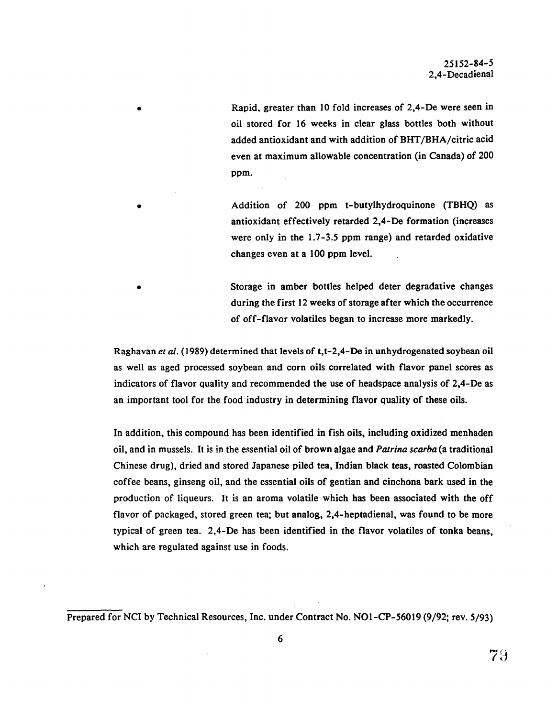• Rapid, greater than 10 fold increases of 2,4-De were seen in oil stored for 16 weeks in clear glass bottles both without added antioxidant and with addition of BHT/BRA/citric acid even at maximum allowable concentration (in Canada) of 200 ppm.

• Addition of 200 ppm t-butylhydroquinone (TBHQ) as antioxidant effectively retarded 2,4-De formation (increases were only in the 1.7-3.5 ppm range) and retarded oxidative changes even at a 100 ppm level.

Storage in amber bottles helped deter degradative changes during the first 12 weeks of storage after which the occurrence of off-flavor volatiles began to increase more markedly.

Raghavan *et al.* {1989) determined that levels of t,t-2,4-De in unhydrogenated soybean oil as well as aged processed soybean and corn oils correlated with flavor panel scores as indicators of flavor quality and recommended the use of headspace analysis of 2,4-De as an important tool for the food industry in determining flavor quality of these oils.

In addition, this compound has been identified in fish oils, including oxidized menhaden oil, and in mussels. It is in the essential oil of brown algae and *Patrina scarba* (a traditional Chinese drug), dried and stored Japanese piled tea, Indian black teas, roasted Colombian coffee beans, ginseng oil, and the essential oils of gentian and cinchona bark used in the production of liqueurs. It is an aroma volatile which has been associated with the off flavor of packaged, stored green tea; but analog, 2,4-heptadienal, was found to be more typical of green tea. 2,4-De has been identified in the flavor volatiles of tonka beans, which are regulated against use in foods.

Prepared for NCI by Technical Resources, Inc. under Contract No. NOl-CP-56019 (9/92; rev. 5/93)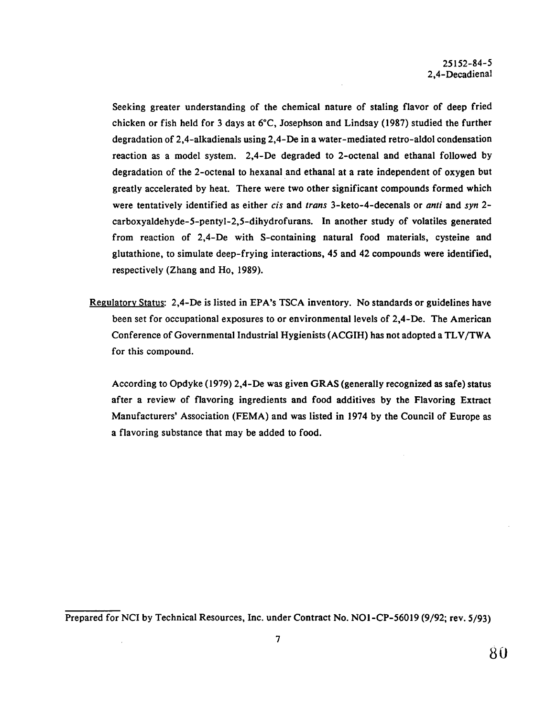Seeking greater understanding of the chemical nature of staling flavor of deep fried chicken or fish held for 3 days at 6°C, Josephson and Lindsay (1987) studied the further degradation of 2,4-alkadienals using 2,4-De in a water-mediated retro-aldol condensation reaction as a model system. 2,4-De degraded to 2-octenal and ethanal followed by degradation of the 2-octenal to hexanal and ethanal at a rate independent of oxygen but greatly accelerated by heat. There were two other significant compounds formed which were tentatively identified as either *cis* and *trans* 3-keto-4-decenals or *anti* and *syn* 2 carboxyaldehyde-5-pentyl-2,5-dihydrofurans. In another study of volatiles generated from reaction of 2,4-De with S-containing natural food materials, cysteine and glutathione, to simulate deep-frying interactions, 45 and 42 compounds were identified, respectively (Zhang and Ho, 1989).

Regulatory Status: 2,4-De is listed in EPA's TSCA inventory. No standards or guidelines have been set for occupational exposures to or environmental levels of 2,4-De. The American Conference of Governmental Industrial Hygienists (ACGIH) has not adopted a TLV /TWA for this compound.

According to Opdyke (1979) 2,4-De was given GRAS (generally recognized as safe) status after a review of flavoring ingredients and food additives by the Flavoring Extract Manufacturers' Association (FEMA) and was listed in 1974 by the Council of Europe as a flavoring substance that may be added to food.

Prepared for NCI by Technical Resources, Inc. under Contract No. NOl-CP-56019 (9/92; rev. 5/93)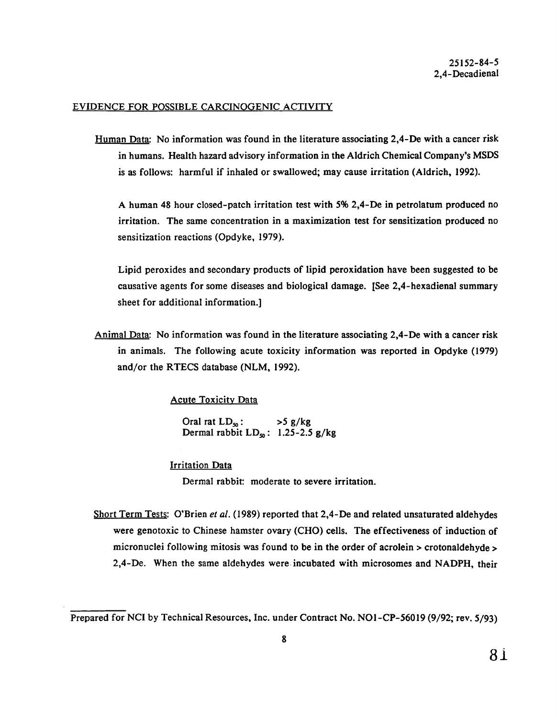## EVIDENCE FOR POSSIBLE CARCINOGENIC ACTIVITY

Human Data: No information was found in the literature associating 2,4-De with a cancer risk in humans. Health hazard advisory information in the Aldrich Chemical Company's MSDS is as follows: harmful if inhaled or swallowed; may cause irritation (Aldrich, 1992).

A human 48 hour closed-patch irritation test with *5%* 2,4-De in petrolatum produced no irritation. The same concentration in a maximization test for sensitization produced no sensitization reactions (Opdyke, 1979).

Lipid peroxides and secondary products of lipid peroxidation have been suggested to be causative agents for some diseases and biological damage. [See 2,4-hexadienal summary sheet for additional information.]

Animal Data: No information was found in the literature associating 2,4-De with a cancer risk in animals. The following acute toxicity information was reported in Opdyke (I979) and/or the RTECS database (NLM, 1992).

Acute Toxicity Data

Oral rat  $LD_{50}$ :  $>5$  g/kg Dermal rabbit  $LD_{50}$ : 1.25-2.5 g/kg

## Irritation Data

Dermal rabbit: moderate to severe irritation.

Short Term Tests: O'Brien *et al.* (1989) reported that 2,4-De and related unsaturated aldehydes were genotoxic to Chinese hamster ovary (CHO) cells. The effectiveness of induction of micronuclei following mitosis was found to be in the order of acrolein > crotonaldehyde > 2,4-De. When the same aldehydes were incubated with microsomes and NADPH, their

Prepared for NCI by Technical Resources, Inc. under Contract No. NOl-CP-56019 (9/92; rev. 5/93)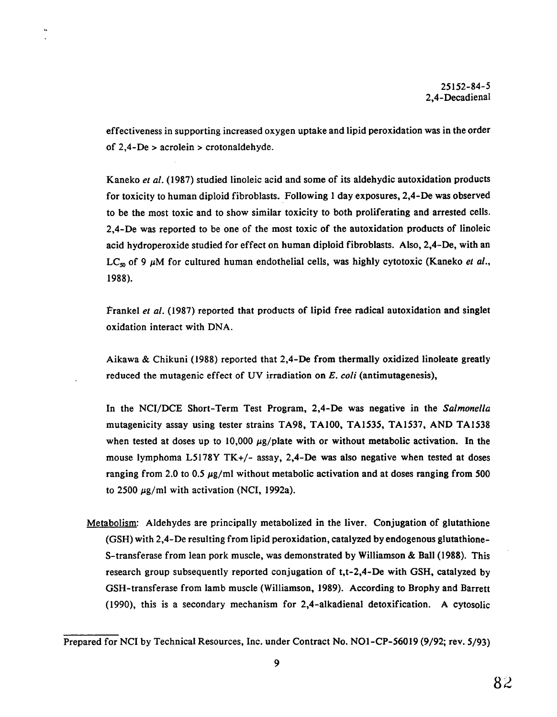effectiveness in supporting increased oxygen uptake and lipid peroxidation was in the order of 2,4-De > acrolein > crotonaldehyde.

 $\tilde{G}$ 

Kaneko *et al.* (1987) studied linoleic acid and some of its aldehydic autoxidation products for toxicity to human diploid fibroblasts. Following 1 day exposures, 2,4-De was observed to be the most toxic and to show similar toxicity to both proliferating and arrested cells. 2,4-De was reported to be one of the most toxic of the autoxidation products of linoleic acid hydroperoxide studied for effect on human diploid fibroblasts. Also, 2,4-De, with an LC<sub>so</sub> of 9  $\mu$ M for cultured human endothelial cells, was highly cytotoxic (Kaneko *et al.*, 1988).

Frankel *et al.* (1987) reported that products of lipid free radical autoxidation and singlet oxidation interact with DNA.

Aikawa & Chikuni (1988) reported that 2,4-De from thermally oxidized linoleate greatly reduced the mutagenic effect of UV irradiation on E. *coli* (antimutagenesis),

In the NCI/DCE Short-Term Test Program, 2,4-De was negative in the *Salmonella*  mutagenicity assay using tester strains TA98, TAlOO, TA1535, TA1537, AND TA1538 when tested at doses up to 10,000  $\mu$ g/plate with or without metabolic activation. In the mouse lymphoma L5178Y TK+/- assay, 2,4-De was also negative when tested at doses ranging from 2.0 to 0.5  $\mu$ g/ml without metabolic activation and at doses ranging from 500 to 2500  $\mu$ g/ml with activation (NCI, 1992a).

Metabolism: Aldehydes are principally metabolized in the liver. Conjugation of glutathione (GSH) with 2,4-De resulting from lipid peroxidation, catalyzed by endogenous glutathione-S-transferase from lean pork muscle, was demonstrated by Williamson & Ball (1988). This research group subsequently reported conjugation of t,t-2,4-De with GSH, catalyzed by GSH-transferase from lamb muscle (Williamson, 1989). According to Brophy and Barrett (1990), this is a secondary mechanism for 2,4-alkadienal detoxification. A cytosolic

Prepared for NCI by Technical Resources, Inc. under Contract No. NOI-CP-56019 (9/92; rev. 5/93)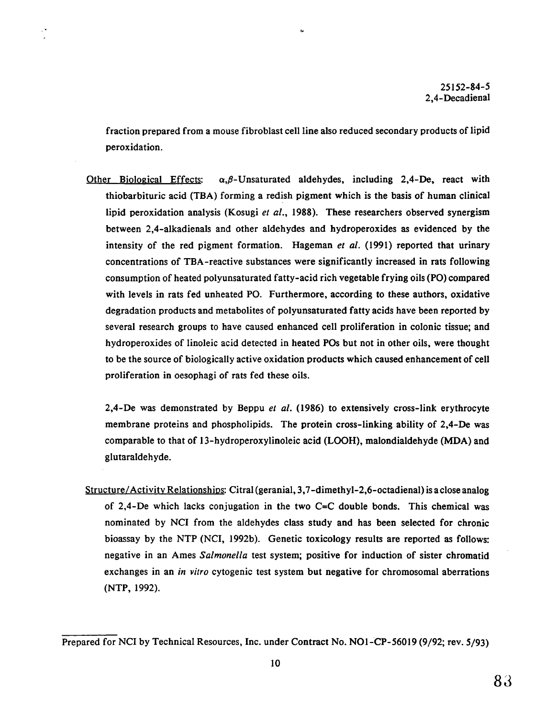fraction prepared from a mouse fibroblast cell line also reduced secondary products of lipid peroxidation.

Ь

.•

Other Biological Effects:  $\alpha, \beta$ -Unsaturated aldehydes, including 2,4-De, react with thiobarbituric acid (TBA) forming a redish pigment which is the basis of human clinical lipid peroxidation analysis (Kosugi *et al.,* 1988). These researchers observed synergism between 2,4-alkadienals and other aldehydes and hydroperoxides as evidenced by the intensity of the red pigment formation. Hageman *et al.* (1991) reported that urinary concentrations of TBA-reactive substances were significantly increased in rats following consumption of heated polyunsaturated fatty-acid rich vegetable frying oils (PO) compared with levels in rats fed unheated PO. Furthermore, according to these authors, oxidative degradation products and metabolites of polyunsaturated fatty acids have been reported by several research groups to have caused enhanced cell proliferation in colonic tissue; and hydroperoxides of linoleic acid detected in heated POs but not in other oils, were thought to be the source of biologically active oxidation products which caused enhancement of cell proliferation in oesophagi of rats fed these oils.

2,4-De was demonstrated by Beppu *et al.* (1986) to extensively cross-link erythrocyte membrane proteins and phospholipids. The protein cross-linking ability of 2,4-De was comparable to that of 13-hydroperoxylinoleic acid (LOOH), malondialdehyde (MDA) and glutaraldehyde.

Structure/Activity Relationships: Citral (geranial, 3,7-dimethyl-2,6-octadienal) is a close analog of 2,4-De which lacks conjugation in the two  $C=C$  double bonds. This chemical was nominated by NCI from the aldehydes class study and has been selected for chronic bioassay by the NTP (NCI, 1992b). Genetic toxicology results are reported as follows: negative in an Ames *Salmonella* test system; positive for induction of sister chromatid exchanges in an *in vitro* cytogenic test system but negative for chromosomal aberrations (NTP, 1992).

Prepared for NCI by Technical Resources, Inc. under Contract No. NOl-CP-56019 (9/92; rev. 5/93)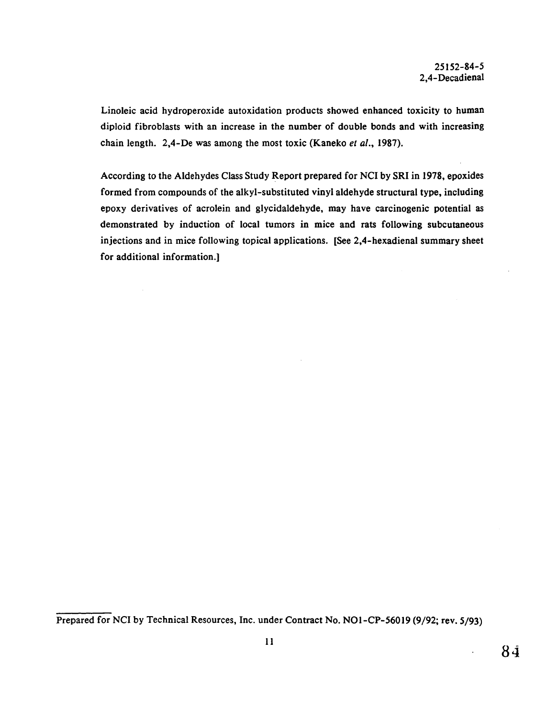Linoleic acid hydroperoxide autoxidation products showed enhanced toxicity to human diploid fibroblasts with an increase in the number of double bonds and with increasing chain length. 2,4-De was among the most toxic (Kaneko *et al.,* 1987).

According to the Aldehydes Class Study Report prepared for NCI by SRI in 1978, epoxides formed from compounds of the alkyl-substituted vinyl aldehyde structural type, including epoxy derivatives of acrolein and glycidaldehyde, may have carcinogenic potential as demonstrated by induction of local tumors in mice and rats following subcutaneous injections and in mice following topical applications. [See 2,4-hexadienal summary sheet for additional information.]

Prepared for NCI by Technical Resources, Inc. under Contract No. NO1-CP-56019 (9/92; rev. 5/93)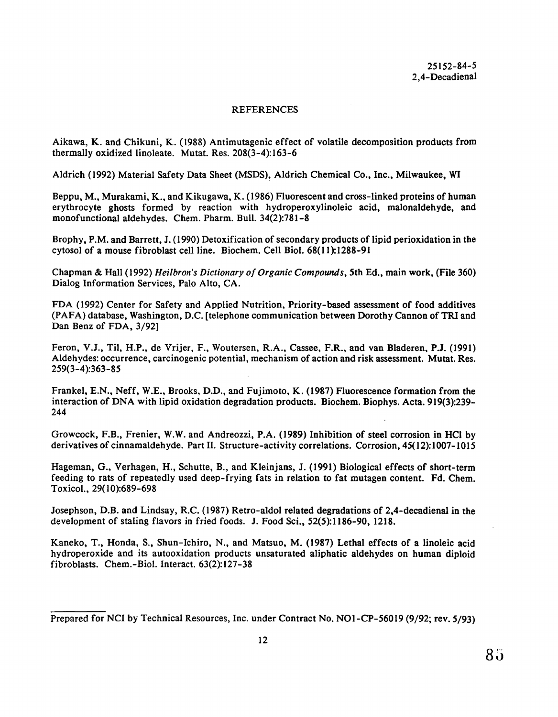## **REFERENCES**

Aikawa, K. and Chikuni, K. (1988) Antimutagenic effect of volatile decomposition products from thermally oxidized linoleate. Mutat. Res. 208(3-4):163-6

Aldrich (1992) Material Safety Data Sheet (MSDS), Aldrich Chemical Co., Inc., Milwaukee, WI

Beppu, M., Murakami, K., and Kikugawa, K. (1986) Fluorescent and cross-linked proteins of human erythrocyte ghosts formed by reaction with hydroperoxylinoleic acid, malonaldehyde, and monofunctional aldehydes. Chem. Pharm. Bull. 34(2):781-8

Brophy, P.M. and Barrett, J. (1990) Detoxification of secondary products of lipid perioxidation in the cytosol of a mouse fibroblast cell line. Biochem. Cell Biol. 68(11):1288-91

Chapman & Hall (1992) *Heilbron's Dictionary of Organic Compounds,* 5th Ed., main work, (File 360) Dialog Information Services, Palo Alto, CA.

FDA (1992) Center for Safety and Applied Nutrition, Priority-based assessment of food additives (PAFA) database, Washington, D.C. [telephone communication between Dorothy Cannon of TRI and Dan Benz of FDA, 3/92]

Feron, V.J., Til, H.P., de Vrijer, F., Woutersen, R.A., Cassee, F.R., and van Bladeren, P.J. (1991) Aldehydes: occurrence, carcinogenic potential, mechanism of action and risk assessment. Mutat. Res. 259(3-4):363-85

Frankel, E.N., Neff, W.E., Brooks, D.D., and Fujimoto, K. (1987) Fluorescence formation from the interaction of DNA with lipid oxidation degradation products. Biochem. Biophys. Acta. 919(3):239 244

Growcock, F.B., Frenier, W.W. and Andreozzi, P.A. (1989) Inhibition of steel corrosion in HCl by derivatives of cinnamaldehyde. Part II. Structure-activity correlations. Corrosion, 45( 12):1007-1O15

Hageman, G., Verhagen, H., Schutte, B., and Kleinjans, J. (1991) Biological effects of short-term feeding to rats of repeatedly used deep-frying fats in relation to fat mutagen content. Fd. Chem. Toxicol., 29(10):689-698

Josephson, D.B. and Lindsay, R.C. (1987) Retro-aldol related degradations of 2,4-decadienal in the development of staling flavors in fried foods. J. Food Sci., 52(5):1186-90, 1218.

Kaneko, T., Honda, S., Shun-Ichiro, N., and Matsuo, M. (1987) Lethal effects of a linoleic acid hydroperoxide and its autooxidation products unsaturated aliphatic aldehydes on human diploid fibroblasts. Chem.-Biol. Interact. 63(2):127-38

Prepared for NCI by Technical Resources, Inc. under Contract No. NOl-CP-56019 (9/92; rev. 5/93)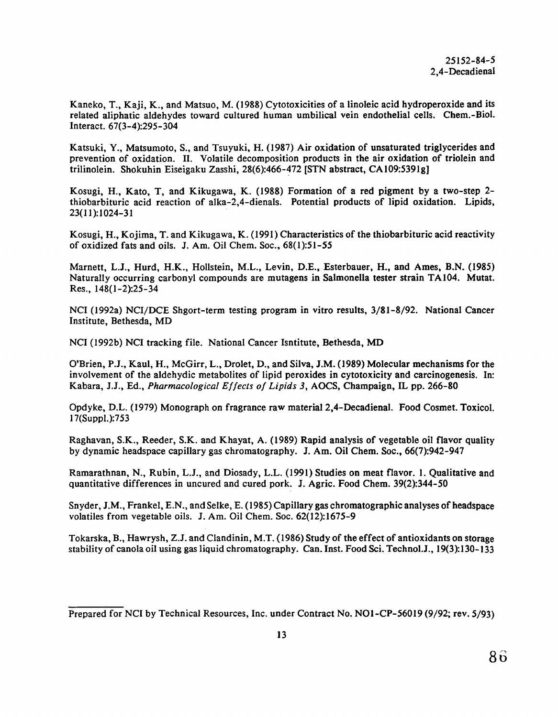Kaneko, T., Kaji, K., and Matsuo, M. (1988) Cytotoxicities of a linoleic acid hydroperoxide and its related aliphatic aldehydes toward cultured human umbilical vein endothelial cells. Chem.-Biol. Interact. 67(3-4):295-304

Katsuki, Y., Matsumoto, S., and Tsuyuki, H. (1987) Air oxidation of unsaturated triglycerides and prevention of oxidation. II. Volatile decomposition products in the air oxidation of triolein and trilinolein. Shokuhin Eiseigaku Zasshi, 28(6):466-472 [STN abstract, CA109:5391g]

Kosugi, H., Kato, T, and Kikugawa, K. (1988) Formation of a red pigment by a two-step 2 thiobarbituric acid reaction of alka-2,4-dienals. Potential products of lipid oxidation. Lipids, 23(11):1024-31

Kosugi, H., Kojima, T. and Kikugawa, K. (1991) Characteristics of the thiobarbituric acid reactivity of oxidized fats and oils. J. Am. Oil Chem. Soc., 68(1):51-55

Marnett, L.J., Hurd, H.K., Hollstein, M.L., Levin, D.E., Esterbauer, H., and Ames, B.N. (1985) Naturally occurring carbonyl compounds are mutagens in Salmonella tester strain TA104. Mutat. Res., 148(1-2):25-34

NCI (1992a) NCI/DCE Shgort-term testing program in vitro results, 3/81-8/92. National Cancer Institute, Bethesda, MD

NCI (1992b) NCI tracking file. National Cancer Isntitute, Bethesda, MD

O'Brien, P.J., Kaul, H., McGirr, L., Drolet, D., and Silva, J.M. (1989) Molecular mechanisms for the involvement of the aldehydic metabolites of lipid peroxides in cytotoxicity and carcinogenesis. In: Kabara, J.J., Ed., *Pharmacological Effects of Lipids 3,* AOCS, Champaign, IL pp. 266-80

Opdyke, D.L. (1979) Monograph on fragrance raw material 2,4-Decadienal. Food Cosmet. Toxicol. 17(Suppl.):753

Raghavan, S.K., Reeder, S.K. and Khayat, A. (1989) Rapid analysis of vegetable oil flavor quality by dynamic headspace capillary gas chromatography. J. Am. Oil Chem. Soc., 66(7):942-947

Ramarathnan, N., Rubin, L.J., and Diosady, L.L. (1991) Studies on meat flavor. 1. Qualitative and quantitative differences in uncured and cured pork. J. Agric. Food Chem. 39(2):344-50

Snyder, J.M., Frankel, E.N ., and Selke, E. ( 1985) Capillary gas chromatographic analyses of headspace volatiles from vegetable oils. J. Am. Oil Chem. Soc. 62(12):1675-9

Tokarska, B., Hawrysh, Z.J. and Clandinin, M.T. (I 986) Study of the effect of antioxidants on storage stability of canolaoil using gas liquid chromatography. Can. Inst. Food Sci. Technol.J., 19(3):130-133

Prepared for NCI by Technical Resources, Inc. under Contract No. NOl-CP-56019 (9/92; rev. 5/93)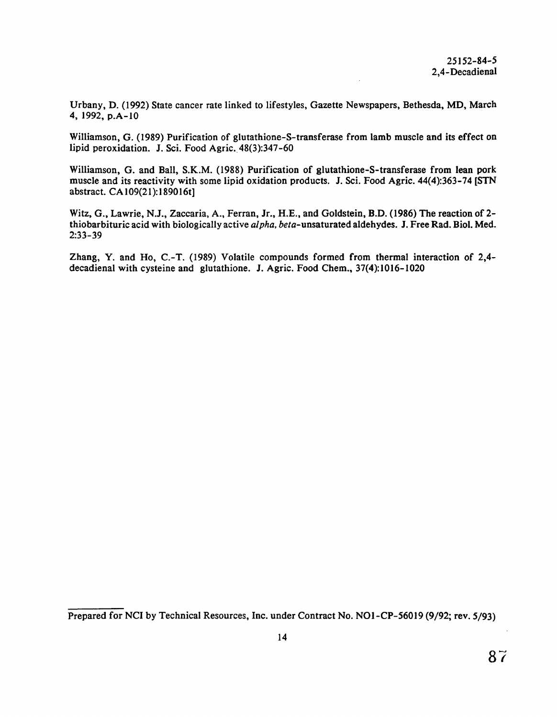Urbany, D. (1992) State cancer rate linked to lifestyles, Gazette Newspapers, Bethesda, MD, March 4, 1992, p.A-10

Williamson, G. (1989) Purification of glutathione-S-transferase from lamb muscle and its effect on lipid peroxidation. J. Sci. Food Agric. 48(3):347-60

Williamson, G. and Ball, S.K.M. (1988) Purification of glutathione-S-transferase from lean pork muscle and its reactivity with some lipid oxidation products. J. Sci. Food Agric. 44(4):363-74 [STN abstract. CA109(21):189016t]

Witz, G., Lawrie, N.J., Zaccaria, A., Ferran, Jr., H.E., and Goldstein, B.D. (1986) The reaction of 2 thiobarbituric acid with biologically active *alpha,* beta-unsaturated aldehydes. J. Free Rad. Biol. Med. 2:33-39

Zhang, Y. and Ho, C.-T. (1989) Volatile compounds formed from thermal interaction of 2,4 decadienal with cysteine and glutathione. J. Agric. Food Chem., 37(4):1016-1020

Prepared for NCI by Technical Resources, Inc. under Contract No. NOl-CP-56019 (9/92; rev. 5/93)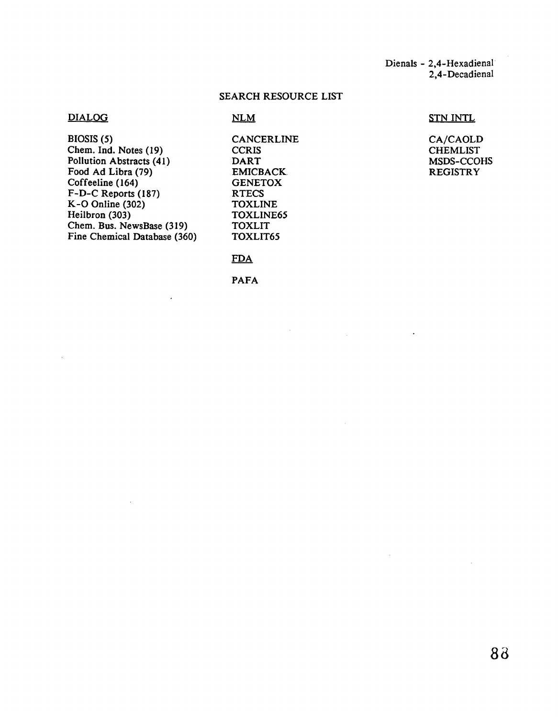Dienals - 2,4-Hexadienal 2,4-Decadienal

 $\ddot{\phantom{1}}$ 

 $\mathcal{L}^{\mathcal{L}}$ 

# SEARCH RESOURCE LIST

## DIALOG

BIOSIS (5) Chem. Ind. Notes (19) Pollution Abstracts (41) Food Ad Libra (79) Coffeeline (164) F-D-C Reports (187) K-0 Online (302) Heilbron (303) Chem. Bus. NewsBase (319) Fine Chemical Database (360) CANCERLINE CA/CAOLD CORIS CCRIS CHEMLIST<br>DART MSDS-CCOI EMICBACK **GENETOX** RTECS TOXLINE TOXLINE65 TOXLIT

TOXLIT65

## **FDA**

 $NLM$ 

PAFA

## STN INTL

MSDS-CCOHS<br>REGISTRY